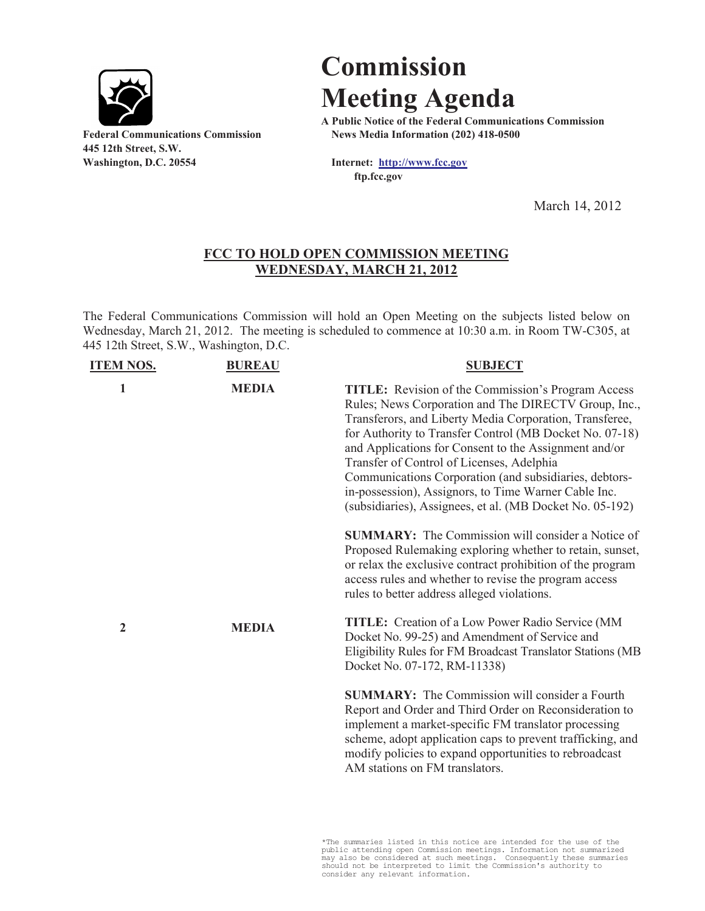

**445 12th Street, S.W. Washington, D.C. 20554 Internet: http://www.fcc.gov**

## **Commission Meeting Agenda**

**A Public Notice of the Federal Communications Commission Federal Communications Commission News Media Information (202) 418-0500**

**ftp.fcc.gov**

March 14, 2012

## **FCC TO HOLD OPEN COMMISSION MEETING WEDNESDAY, MARCH 21, 2012**

The Federal Communications Commission will hold an Open Meeting on the subjects listed below on Wednesday, March 21, 2012. The meeting is scheduled to commence at 10:30 a.m. in Room TW-C305, at 445 12th Street, S.W., Washington, D.C.

| <b>ITEM NOS.</b> | <b>BUREAU</b> | <b>SUBJECT</b>                                                                                                                                                                                                                                                                                                                                                                                                                                                                                                              |
|------------------|---------------|-----------------------------------------------------------------------------------------------------------------------------------------------------------------------------------------------------------------------------------------------------------------------------------------------------------------------------------------------------------------------------------------------------------------------------------------------------------------------------------------------------------------------------|
| $\mathbf{1}$     | <b>MEDIA</b>  | <b>TITLE:</b> Revision of the Commission's Program Access<br>Rules; News Corporation and The DIRECTV Group, Inc.,<br>Transferors, and Liberty Media Corporation, Transferee,<br>for Authority to Transfer Control (MB Docket No. 07-18)<br>and Applications for Consent to the Assignment and/or<br>Transfer of Control of Licenses, Adelphia<br>Communications Corporation (and subsidiaries, debtors-<br>in-possession), Assignors, to Time Warner Cable Inc.<br>(subsidiaries), Assignees, et al. (MB Docket No. 05-192) |
|                  |               | <b>SUMMARY:</b> The Commission will consider a Notice of<br>Proposed Rulemaking exploring whether to retain, sunset,<br>or relax the exclusive contract prohibition of the program<br>access rules and whether to revise the program access<br>rules to better address alleged violations.                                                                                                                                                                                                                                  |
| 2                | <b>MEDIA</b>  | <b>TITLE:</b> Creation of a Low Power Radio Service (MM<br>Docket No. 99-25) and Amendment of Service and<br>Eligibility Rules for FM Broadcast Translator Stations (MB<br>Docket No. 07-172, RM-11338)                                                                                                                                                                                                                                                                                                                     |
|                  |               | <b>SUMMARY:</b> The Commission will consider a Fourth<br>Report and Order and Third Order on Reconsideration to<br>implement a market-specific FM translator processing<br>scheme, adopt application caps to prevent trafficking, and<br>modify policies to expand opportunities to rebroadcast<br>AM stations on FM translators.                                                                                                                                                                                           |

\*The summaries listed in this notice are intended for the use of the public attending open Commission meetings. Information not summarized may also be considered at such meetings. Consequently these summaries should not be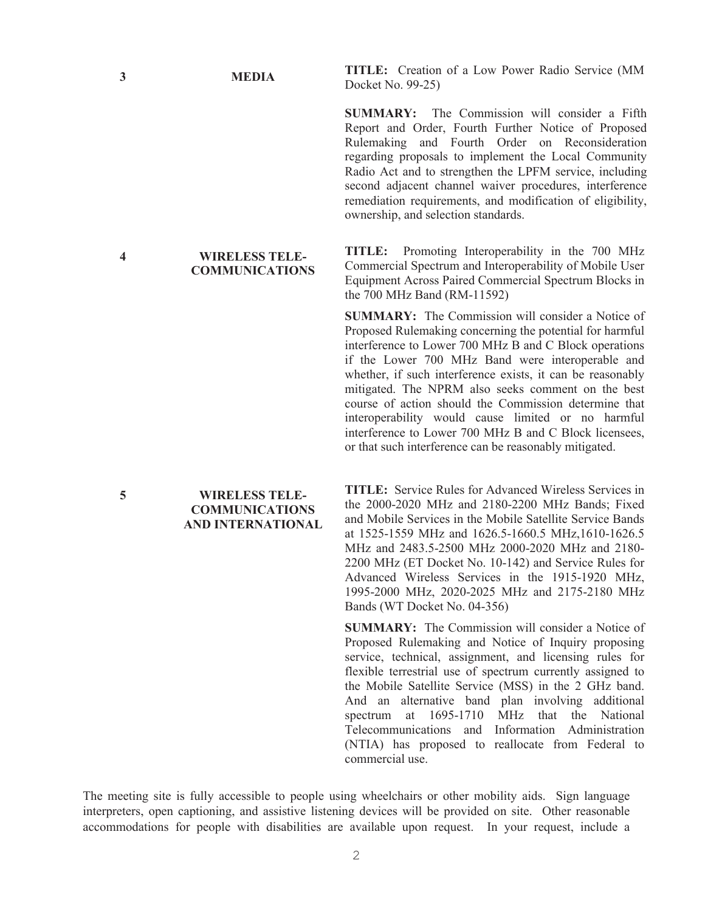**COMMUNICATIONS**

**3 MEDIA TITLE:** Creation of a Low Power Radio Service (MM Docket No. 99-25)

> **SUMMARY:** The Commission will consider a Fifth Report and Order, Fourth Further Notice of Proposed Rulemaking and Fourth Order on Reconsideration regarding proposals to implement the Local Community Radio Act and to strengthen the LPFM service, including second adjacent channel waiver procedures, interference remediation requirements, and modification of eligibility, ownership, and selection standards.

> **TITLE:** Promoting Interoperability in the 700 MHz Commercial Spectrum and Interoperability of Mobile User Equipment Across Paired Commercial Spectrum Blocks in the 700 MHz Band (RM-11592)

> **SUMMARY:** The Commission will consider a Notice of Proposed Rulemaking concerning the potential for harmful interference to Lower 700 MHz B and C Block operations if the Lower 700 MHz Band were interoperable and whether, if such interference exists, it can be reasonably mitigated. The NPRM also seeks comment on the best course of action should the Commission determine that interoperability would cause limited or no harmful interference to Lower 700 MHz B and C Block licensees, or that such interference can be reasonably mitigated.

**TITLE:** Service Rules for Advanced Wireless Services in the 2000-2020 MHz and 2180-2200 MHz Bands; Fixed and Mobile Services in the Mobile Satellite Service Bands at 1525-1559 MHz and 1626.5-1660.5 MHz,1610-1626.5 MHz and 2483.5-2500 MHz 2000-2020 MHz and 2180- 2200 MHz (ET Docket No. 10-142) and Service Rules for Advanced Wireless Services in the 1915-1920 MHz, 1995-2000 MHz, 2020-2025 MHz and 2175-2180 MHz Bands (WT Docket No. 04-356)

**SUMMARY:** The Commission will consider a Notice of Proposed Rulemaking and Notice of Inquiry proposing service, technical, assignment, and licensing rules for flexible terrestrial use of spectrum currently assigned to the Mobile Satellite Service (MSS) in the 2 GHz band. And an alternative band plan involving additional spectrum at 1695-1710 MHz that the National Telecommunications and Information Administration (NTIA) has proposed to reallocate from Federal to commercial use.

The meeting site is fully accessible to people using wheelchairs or other mobility aids. Sign language interpreters, open captioning, and assistive listening devices will be provided on site. Other reasonable accommodations for people with disabilities are available upon request. In your request, include a

**4 WIRELESS TELE-**

## **5 WIRELESS TELE-COMMUNICATIONS AND INTERNATIONAL**